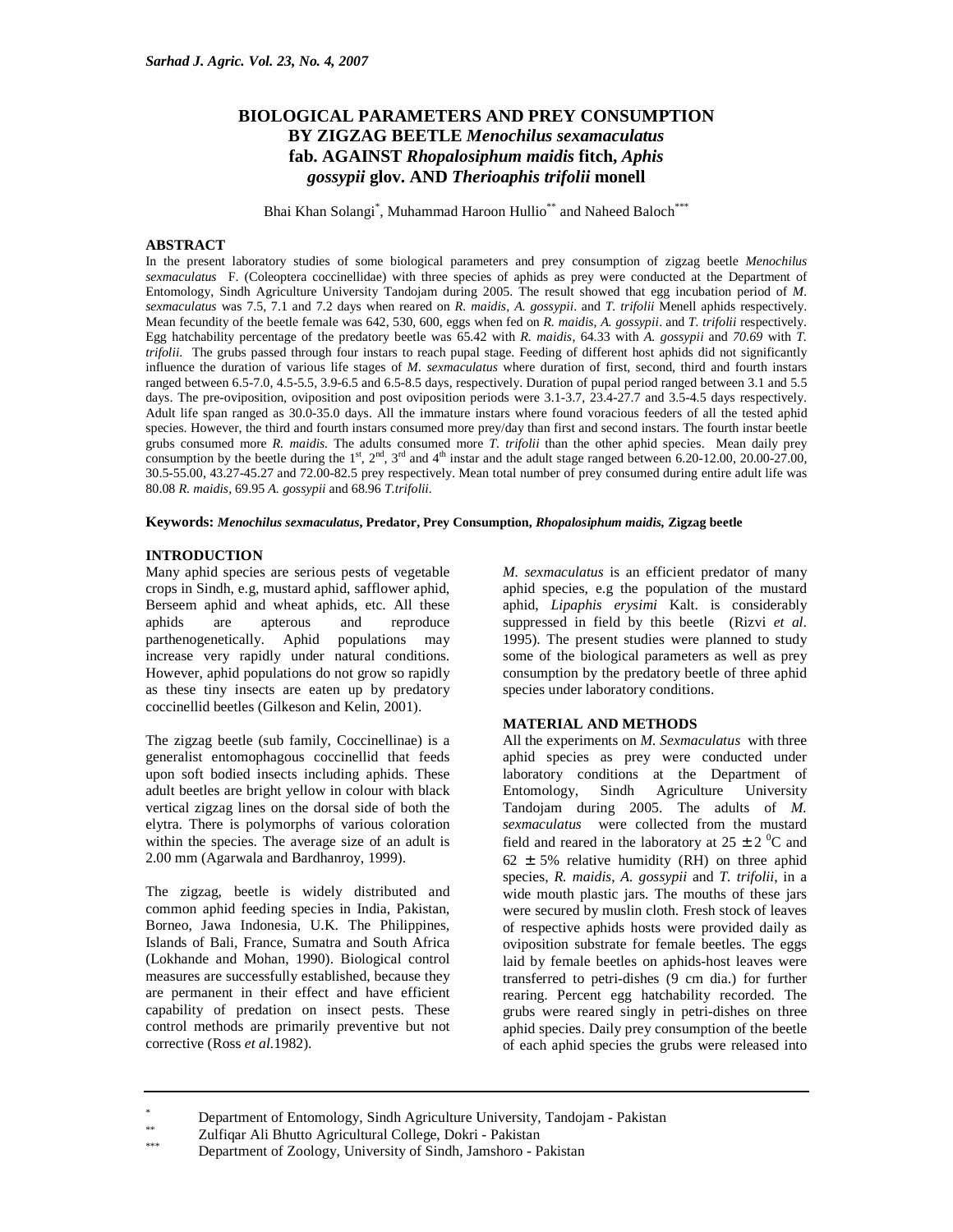# **BIOLOGICAL PARAMETERS AND PREY CONSUMPTION BY ZIGZAG BEETLE** *Menochilus sexamaculatus* **fab. AGAINST** *Rhopalosiphum maidis* **fitch,** *Aphis gossypii* **glov. AND** *Therioaphis trifolii* **monell**

Bhai Khan Solangi<sup>\*</sup>, Muhammad Haroon Hullio<sup>\*\*</sup> and Naheed Baloch<sup>\*\*\*</sup>

## **ABSTRACT**

In the present laboratory studies of some biological parameters and prey consumption of zigzag beetle *Menochilus sexmaculatus* F. (Coleoptera coccinellidae) with three species of aphids as prey were conducted at the Department of Entomology, Sindh Agriculture University Tandojam during 2005. The result showed that egg incubation period of *M. sexmaculatus* was 7.5, 7.1 and 7.2 days when reared on *R. maidis*, *A. gossypii*. and *T. trifolii* Menell aphids respectively. Mean fecundity of the beetle female was 642, 530, 600, eggs when fed on *R. maidis*, *A. gossypii*. and *T. trifolii* respectively. Egg hatchability percentage of the predatory beetle was 65.42 with *R. maidis*, 64.33 with *A. gossypii* and *70.69* with *T. trifolii*. The grubs passed through four instars to reach pupal stage. Feeding of different host aphids did not significantly influence the duration of various life stages of *M. sexmaculatus* where duration of first, second, third and fourth instars ranged between 6.5-7.0, 4.5-5.5, 3.9-6.5 and 6.5-8.5 days, respectively. Duration of pupal period ranged between 3.1 and 5.5 days. The pre-oviposition, oviposition and post oviposition periods were 3.1-3.7, 23.4-27.7 and 3.5-4.5 days respectively. Adult life span ranged as 30.0-35.0 days. All the immature instars where found voracious feeders of all the tested aphid species. However, the third and fourth instars consumed more prey/day than first and second instars. The fourth instar beetle grubs consumed more *R. maidis.* The adults consumed more *T. trifolii* than the other aphid species. Mean daily prey consumption by the beetle during the 1st,  $2^{nd}$ ,  $3^{rd}$  and  $4^{th}$  instar and the adult stage ranged between 6.20-12.00, 20.00-27.00, 30.5-55.00, 43.27-45.27 and 72.00-82.5 prey respectively. Mean total number of prey consumed during entire adult life was 80.08 *R. maidis,* 69.95 *A. gossypii* and 68.96 *T.trifolii.* 

**Keywords:** *Menochilus sexmaculatus***, Predator, Prey Consumption,** *Rhopalosiphum maidis,* **Zigzag beetle**

### **INTRODUCTION**

Many aphid species are serious pests of vegetable crops in Sindh, e.g, mustard aphid, safflower aphid, Berseem aphid and wheat aphids, etc. All these aphids are apterous and reproduce parthenogenetically. Aphid populations may increase very rapidly under natural conditions. However, aphid populations do not grow so rapidly as these tiny insects are eaten up by predatory coccinellid beetles (Gilkeson and Kelin, 2001).

The zigzag beetle (sub family, Coccinellinae) is a generalist entomophagous coccinellid that feeds upon soft bodied insects including aphids. These adult beetles are bright yellow in colour with black vertical zigzag lines on the dorsal side of both the elytra. There is polymorphs of various coloration within the species. The average size of an adult is 2.00 mm (Agarwala and Bardhanroy, 1999).

The zigzag, beetle is widely distributed and common aphid feeding species in India, Pakistan, Borneo, Jawa Indonesia, U.K. The Philippines, Islands of Bali, France, Sumatra and South Africa (Lokhande and Mohan, 1990). Biological control measures are successfully established, because they are permanent in their effect and have efficient capability of predation on insect pests. These control methods are primarily preventive but not corrective (Ross *et al.*1982).

*M. sexmaculatus* is an efficient predator of many aphid species, e.g the population of the mustard aphid, *Lipaphis erysimi* Kalt. is considerably suppressed in field by this beetle (Rizvi *et al*. 1995). The present studies were planned to study some of the biological parameters as well as prey consumption by the predatory beetle of three aphid species under laboratory conditions.

#### **MATERIAL AND METHODS**

All the experiments on *M. Sexmaculatus* with three aphid species as prey were conducted under laboratory conditions at the Department of Entomology, Sindh Agriculture University Tandojam during 2005. The adults of *M. sexmaculatus* were collected from the mustard field and reared in the laboratory at  $25 \pm 2$  °C and  $62 \pm 5\%$  relative humidity (RH) on three aphid species, *R. maidis*, *A. gossypii* and *T. trifolii*, in a wide mouth plastic jars. The mouths of these jars were secured by muslin cloth. Fresh stock of leaves of respective aphids hosts were provided daily as oviposition substrate for female beetles. The eggs laid by female beetles on aphids-host leaves were transferred to petri-dishes (9 cm dia.) for further rearing. Percent egg hatchability recorded. The grubs were reared singly in petri-dishes on three aphid species. Daily prey consumption of the beetle of each aphid species the grubs were released into

<sup>\*</sup> Department of Entomology, Sindh Agriculture University, Tandojam - Pakistan

<sup>\*\*</sup> Zulfiqar Ali Bhutto Agricultural College, Dokri - Pakistan

Department of Zoology, University of Sindh, Jamshoro - Pakistan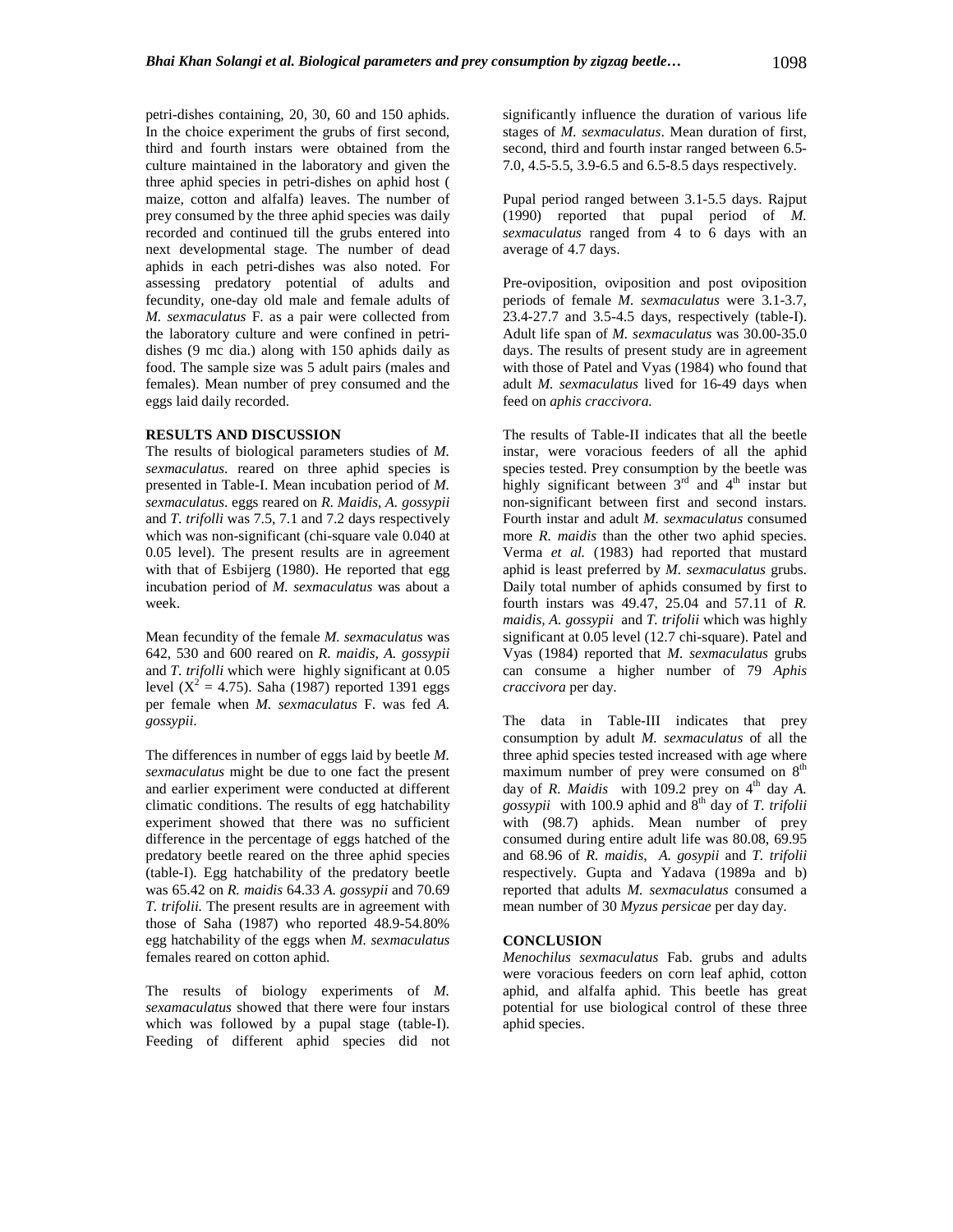petri-dishes containing, 20, 30, 60 and 150 aphids. In the choice experiment the grubs of first second, third and fourth instars were obtained from the culture maintained in the laboratory and given the three aphid species in petri-dishes on aphid host ( maize, cotton and alfalfa) leaves. The number of prey consumed by the three aphid species was daily recorded and continued till the grubs entered into next developmental stage. The number of dead aphids in each petri-dishes was also noted. For assessing predatory potential of adults and fecundity, one-day old male and female adults of *M. sexmaculatus* F. as a pair were collected from the laboratory culture and were confined in petridishes (9 mc dia.) along with 150 aphids daily as food. The sample size was 5 adult pairs (males and females). Mean number of prey consumed and the eggs laid daily recorded.

## **RESULTS AND DISCUSSION**

The results of biological parameters studies of *M. sexmaculatus*. reared on three aphid species is presented in Table-I. Mean incubation period of *M. sexmaculatus*. eggs reared on *R. Maidis, A. gossypii*  and *T. trifolli* was 7.5, 7.1 and 7.2 days respectively which was non-significant (chi-square vale 0.040 at 0.05 level). The present results are in agreement with that of Esbijerg (1980). He reported that egg incubation period of *M. sexmaculatus* was about a week.

Mean fecundity of the female *M. sexmaculatus* was 642, 530 and 600 reared on *R. maidis, A. gossypii*  and *T. trifolli* which were highly significant at 0.05 level ( $X^2 = 4.75$ ). Saha (1987) reported 1391 eggs per female when *M. sexmaculatus* F. was fed *A. gossypii*.

The differences in number of eggs laid by beetle *M. sexmaculatus* might be due to one fact the present and earlier experiment were conducted at different climatic conditions. The results of egg hatchability experiment showed that there was no sufficient difference in the percentage of eggs hatched of the predatory beetle reared on the three aphid species (table-I). Egg hatchability of the predatory beetle was 65.42 on *R. maidis* 64.33 *A. gossypii* and 70.69 *T. trifolii.* The present results are in agreement with those of Saha (1987) who reported 48.9-54.80% egg hatchability of the eggs when *M. sexmaculatus*  females reared on cotton aphid.

The results of biology experiments of *M. sexamaculatus* showed that there were four instars which was followed by a pupal stage (table-I). Feeding of different aphid species did not significantly influence the duration of various life stages of *M. sexmaculatus*. Mean duration of first, second, third and fourth instar ranged between 6.5- 7.0, 4.5-5.5, 3.9-6.5 and 6.5-8.5 days respectively.

Pupal period ranged between 3.1-5.5 days. Rajput (1990) reported that pupal period of *M. sexmaculatus* ranged from 4 to 6 days with an average of 4.7 days.

Pre-oviposition, oviposition and post oviposition periods of female *M. sexmaculatus* were 3.1-3.7, 23.4-27.7 and 3.5-4.5 days, respectively (table-I). Adult life span of *M. sexmaculatus* was 30.00-35.0 days. The results of present study are in agreement with those of Patel and Vyas (1984) who found that adult *M. sexmaculatus* lived for 16-49 days when feed on *aphis craccivora.* 

The results of Table-II indicates that all the beetle instar, were voracious feeders of all the aphid species tested. Prey consumption by the beetle was highly significant between  $3<sup>rd</sup>$  and  $4<sup>th</sup>$  instar but non-significant between first and second instars. Fourth instar and adult *M. sexmaculatus* consumed more *R. maidis* than the other two aphid species. Verma *et al.* (1983) had reported that mustard aphid is least preferred by *M. sexmaculatus* grubs. Daily total number of aphids consumed by first to fourth instars was 49.47, 25.04 and 57.11 of *R. maidis, A. gossypii* and *T. trifolii* which was highly significant at 0.05 level (12.7 chi-square). Patel and Vyas (1984) reported that *M. sexmaculatus* grubs can consume a higher number of 79 *Aphis craccivora* per day.

The data in Table-III indicates that prey consumption by adult *M. sexmaculatus* of all the three aphid species tested increased with age where maximum number of prey were consumed on 8<sup>th</sup> day of *R. Maidis* with 109.2 prey on  $4<sup>th</sup>$  day *A*. *gossypii* with 100.9 aphid and 8th day of *T. trifolii*  with (98.7) aphids. Mean number of prey consumed during entire adult life was 80.08, 69.95 and 68.96 of *R. maidis, A. gosypii* and *T. trifolii*  respectively. Gupta and Yadava (1989a and b) reported that adults *M. sexmaculatus* consumed a mean number of 30 *Myzus persicae* per day day.

#### **CONCLUSION**

*Menochilus sexmaculatus* Fab. grubs and adults were voracious feeders on corn leaf aphid, cotton aphid, and alfalfa aphid. This beetle has great potential for use biological control of these three aphid species.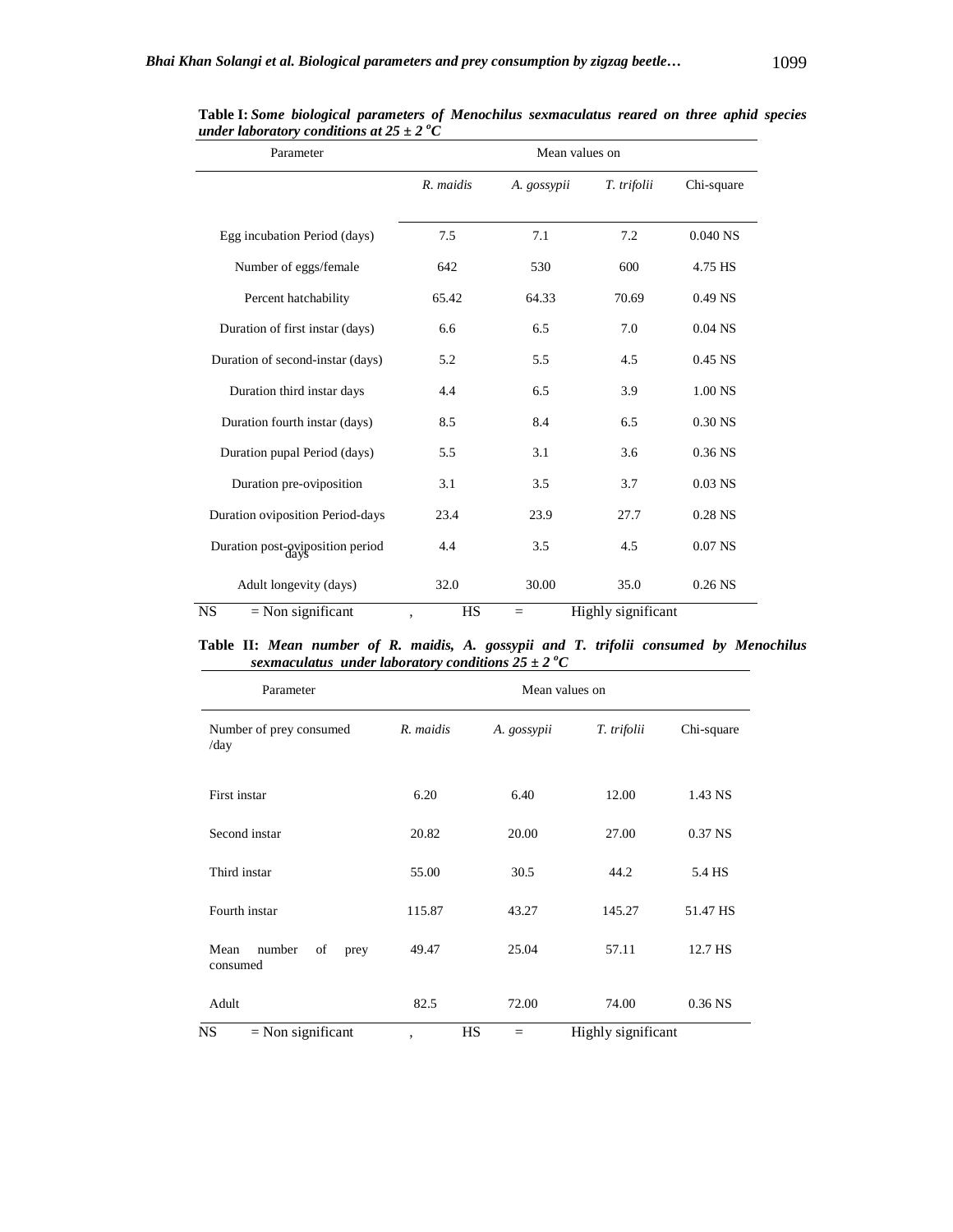| Parameter                        | Mean values on |             |                    |            |
|----------------------------------|----------------|-------------|--------------------|------------|
|                                  | R. maidis      | A. gossypii | T. trifolii        | Chi-square |
| Egg incubation Period (days)     | 7.5            | 7.1         | 7.2                | $0.040$ NS |
| Number of eggs/female            | 642            | 530         | 600                | 4.75 HS    |
| Percent hatchability             | 65.42          | 64.33       | 70.69              | $0.49$ NS  |
| Duration of first instar (days)  | 6.6            | 6.5         | 7.0                | $0.04$ NS  |
| Duration of second-instar (days) | 5.2            | 5.5         | 4.5                | $0.45$ NS  |
| Duration third instar days       | 4.4            | 6.5         | 3.9                | 1.00 NS    |
| Duration fourth instar (days)    | 8.5            | 8.4         | 6.5                | 0.30 NS    |
| Duration pupal Period (days)     | 5.5            | 3.1         | 3.6                | $0.36$ NS  |
| Duration pre-oviposition         | 3.1            | 3.5         | 3.7                | $0.03$ NS  |
| Duration oviposition Period-days | 23.4           | 23.9        | 27.7               | $0.28$ NS  |
| Duration post-oviposition period | 4.4            | 3.5         | 4.5                | $0.07$ NS  |
| Adult longevity (days)           | 32.0           | 30.00       | 35.0               | $0.26$ NS  |
| <b>NS</b><br>$=$ Non significant | <b>HS</b><br>, | $=$         | Highly significant |            |

**Table I:** *Some biological parameters of Menochilus sexmaculatus reared on three aphid species under laboratory conditions at*  $25 \pm 2^oC$ 

**Table II:** *Mean number of R. maidis, A. gossypii and T. trifolii consumed by Menochilus sexmaculatus under laboratory conditions*  $25 \pm 2$  °C

| Parameter                                | Mean values on |             |                    |            |
|------------------------------------------|----------------|-------------|--------------------|------------|
| Number of prey consumed<br>/day          | R. maidis      | A. gossypii | T. trifolii        | Chi-square |
| First instar                             | 6.20           | 6.40        | 12.00              | 1.43 NS    |
| Second instar                            | 20.82          | 20.00       | 27.00              | $0.37$ NS  |
| Third instar                             | 55.00          | 30.5        | 44.2               | 5.4 HS     |
| Fourth instar                            | 115.87         | 43.27       | 145.27             | 51.47 HS   |
| number<br>Mean<br>of<br>prey<br>consumed | 49.47          | 25.04       | 57.11              | 12.7 HS    |
| Adult                                    | 82.5           | 72.00       | 74.00              | $0.36$ NS  |
| $=$ Non significant<br>NS                | ,              | HS<br>$=$   | Highly significant |            |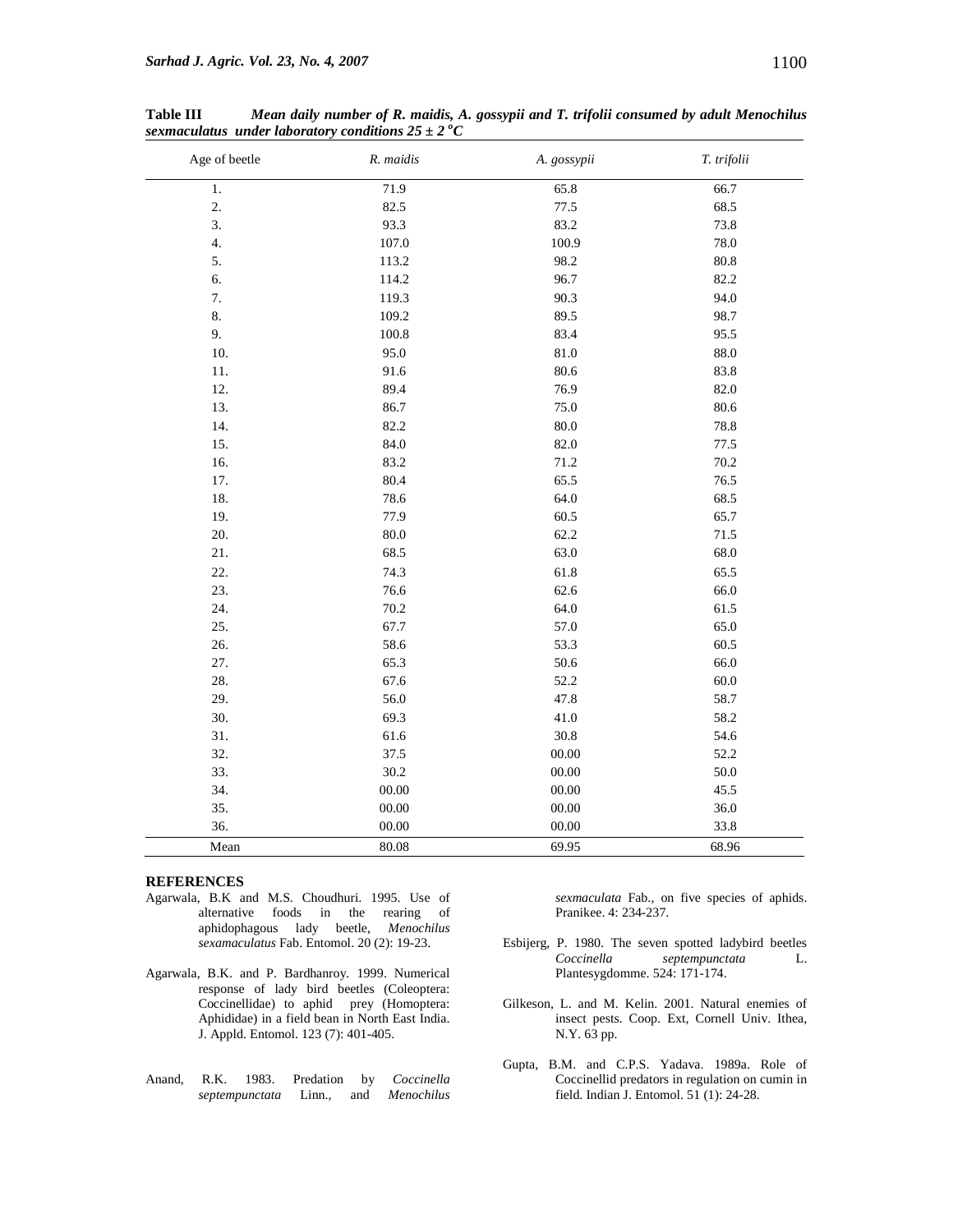| Age of beetle    | R. maidis | A. gossypii | T. trifolii |
|------------------|-----------|-------------|-------------|
| $1.$             | 71.9      | 65.8        | 66.7        |
| 2.               | 82.5      | 77.5        | 68.5        |
| 3.               | 93.3      | 83.2        | 73.8        |
| $\overline{4}$ . | 107.0     | 100.9       | 78.0        |
| 5.               | 113.2     | 98.2        | 80.8        |
| 6.               | 114.2     | 96.7        | 82.2        |
| 7.               | 119.3     | 90.3        | 94.0        |
| 8.               | 109.2     | 89.5        | 98.7        |
| 9.               | 100.8     | 83.4        | 95.5        |
| 10.              | 95.0      | 81.0        | 88.0        |
| 11.              | 91.6      | 80.6        | 83.8        |
| 12.              | 89.4      | 76.9        | 82.0        |
| 13.              | 86.7      | 75.0        | 80.6        |
| 14.              | 82.2      | 80.0        | 78.8        |
| 15.              | 84.0      | 82.0        | 77.5        |
| 16.              | 83.2      | 71.2        | 70.2        |
| 17.              | 80.4      | 65.5        | 76.5        |
| 18.              | 78.6      | 64.0        | 68.5        |
| 19.              | 77.9      | 60.5        | 65.7        |
| 20.              | 80.0      | 62.2        | 71.5        |
| 21.              | 68.5      | 63.0        | 68.0        |
| 22.              | 74.3      | 61.8        | 65.5        |
| 23.              | 76.6      | 62.6        | 66.0        |
| 24.              | 70.2      | 64.0        | 61.5        |
| 25.              | 67.7      | 57.0        | 65.0        |
| 26.              | 58.6      | 53.3        | 60.5        |
| 27.              | 65.3      | 50.6        | 66.0        |
| 28.              | 67.6      | 52.2        | 60.0        |
| 29.              | 56.0      | 47.8        | 58.7        |
| 30.              | 69.3      | 41.0        | 58.2        |
| 31.              | 61.6      | 30.8        | 54.6        |
| 32.              | 37.5      | 00.00       | 52.2        |
| 33.              | 30.2      | 00.00       | 50.0        |
| 34.              | 00.00     | $00.00\,$   | 45.5        |
| 35.              | 00.00     | $00.00\,$   | 36.0        |
| 36.              | 00.00     | 00.00       | 33.8        |
| Mean             | 80.08     | 69.95       | 68.96       |

**Table III** *Mean daily number of R. maidis, A. gossypii and T. trifolii consumed by adult Menochilus sexmaculatus under laboratory conditions*  $25 \pm 2 \degree C$ 

## **REFERENCES**

- Agarwala, B.K and M.S. Choudhuri. 1995. Use of alternative foods in the rearing of aphidophagous lady beetle, *Menochilus sexamaculatus* Fab. Entomol. 20 (2): 19-23.
- Agarwala, B.K. and P. Bardhanroy. 1999. Numerical response of lady bird beetles (Coleoptera: Coccinellidae) to aphid prey (Homoptera: Aphididae) in a field bean in North East India. J. Appld. Entomol. 123 (7): 401-405.
- Anand, R.K. 1983. Predation by *Coccinella Linn., and*

*sexmaculata* Fab., on five species of aphids. Pranikee. 4: 234-237.

- Esbijerg, P. 1980. The seven spotted ladybird beetles<br> *Coccinella* septempunctata L. *Coccinella septempunctata* L. Plantesygdomme. 524: 171-174.
- Gilkeson, L. and M. Kelin. 2001. Natural enemies of insect pests. Coop. Ext, Cornell Univ. Ithea, N.Y. 63 pp.
- Gupta, B.M. and C.P.S. Yadava. 1989a. Role of Coccinellid predators in regulation on cumin in field. Indian J. Entomol. 51 (1): 24-28.